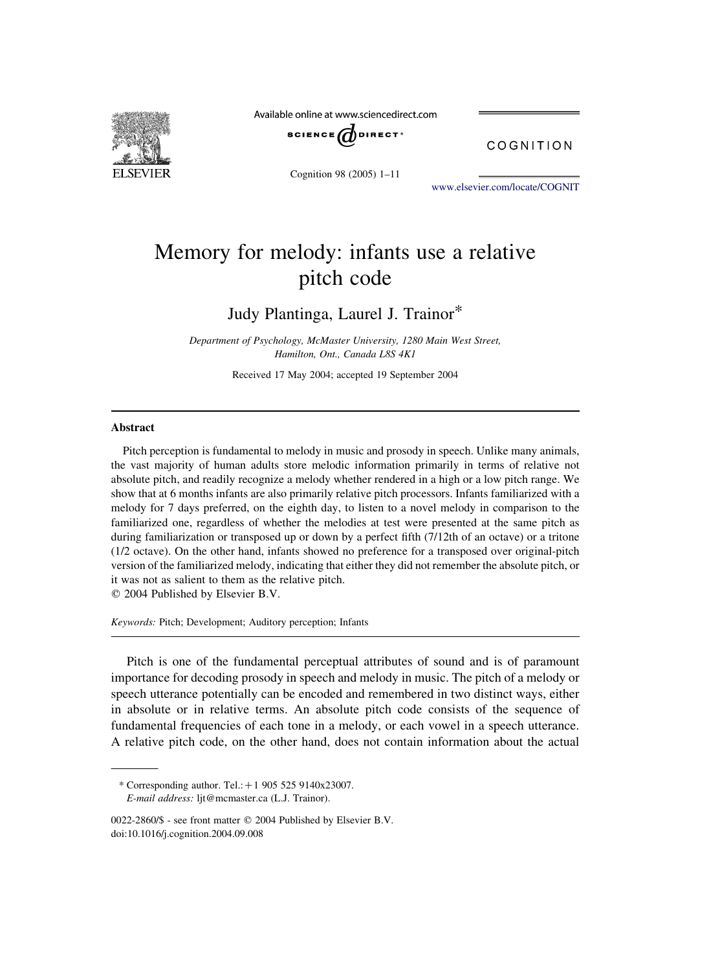

Available online at www.sciencedirect.com



COGNITION

Cognition 98 (2005) 1–11

[www.elsevier.com/locate/COGNIT](http://www.elsevier.com/locate/COGNIT)

# Memory for melody: infants use a relative pitch code

Judy Plantinga, Laurel J. Trainor\*

Department of Psychology, McMaster University, 1280 Main West Street, Hamilton, Ont., Canada L8S 4K1

Received 17 May 2004; accepted 19 September 2004

#### Abstract

Pitch perception is fundamental to melody in music and prosody in speech. Unlike many animals, the vast majority of human adults store melodic information primarily in terms of relative not absolute pitch, and readily recognize a melody whether rendered in a high or a low pitch range. We show that at 6 months infants are also primarily relative pitch processors. Infants familiarized with a melody for 7 days preferred, on the eighth day, to listen to a novel melody in comparison to the familiarized one, regardless of whether the melodies at test were presented at the same pitch as during familiarization or transposed up or down by a perfect fifth (7/12th of an octave) or a tritone (1/2 octave). On the other hand, infants showed no preference for a transposed over original-pitch version of the familiarized melody, indicating that either they did not remember the absolute pitch, or it was not as salient to them as the relative pitch.  $Q$  2004 Published by Elsevier B.V.

Keywords: Pitch; Development; Auditory perception; Infants

Pitch is one of the fundamental perceptual attributes of sound and is of paramount importance for decoding prosody in speech and melody in music. The pitch of a melody or speech utterance potentially can be encoded and remembered in two distinct ways, either in absolute or in relative terms. An absolute pitch code consists of the sequence of fundamental frequencies of each tone in a melody, or each vowel in a speech utterance. A relative pitch code, on the other hand, does not contain information about the actual

<sup>\*</sup> Corresponding author. Tel.:  $+1$  905 525 9140x23007. E-mail address: ljt@mcmaster.ca (L.J. Trainor).

<sup>0022-2860/\$ -</sup> see front matter © 2004 Published by Elsevier B.V. doi:10.1016/j.cognition.2004.09.008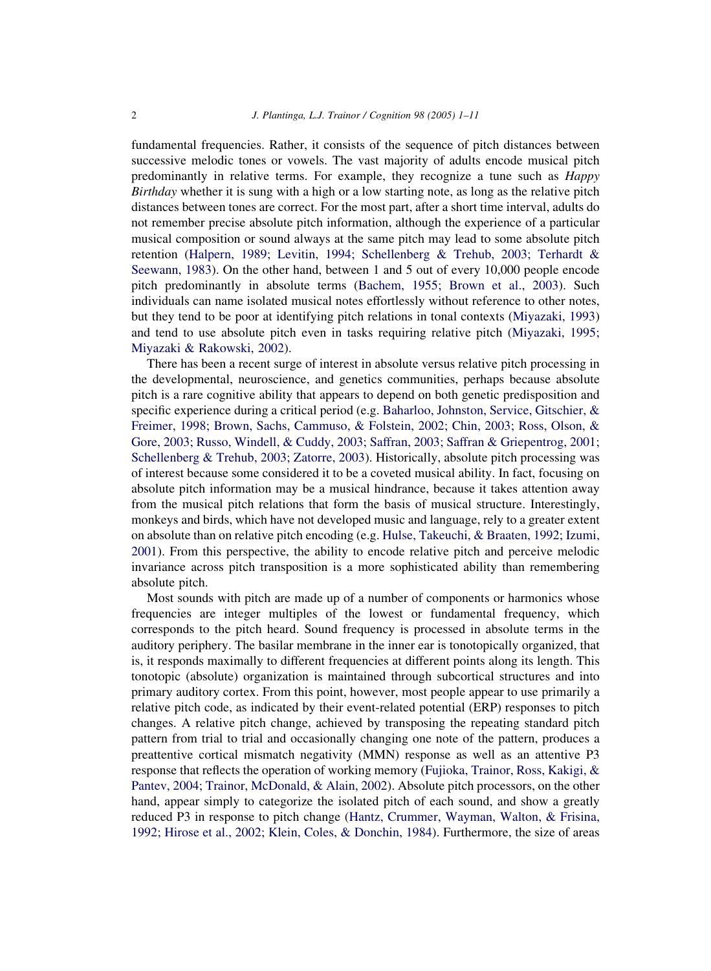fundamental frequencies. Rather, it consists of the sequence of pitch distances between successive melodic tones or vowels. The vast majority of adults encode musical pitch predominantly in relative terms. For example, they recognize a tune such as Happy Birthday whether it is sung with a high or a low starting note, as long as the relative pitch distances between tones are correct. For the most part, after a short time interval, adults do not remember precise absolute pitch information, although the experience of a particular musical composition or sound always at the same pitch may lead to some absolute pitch retention ([Halpern, 1989; Levitin, 1994; Schellenberg & Trehub, 2003; Terhardt &](#page-9-0) [Seewann, 1983](#page-9-0)). On the other hand, between 1 and 5 out of every 10,000 people encode pitch predominantly in absolute terms [\(Bachem, 1955; Brown et al., 2003\)](#page-8-0). Such individuals can name isolated musical notes effortlessly without reference to other notes, but they tend to be poor at identifying pitch relations in tonal contexts ([Miyazaki, 1993\)](#page-9-0) and tend to use absolute pitch even in tasks requiring relative pitch [\(Miyazaki, 1995;](#page-9-0) [Miyazaki & Rakowski, 2002\)](#page-9-0).

There has been a recent surge of interest in absolute versus relative pitch processing in the developmental, neuroscience, and genetics communities, perhaps because absolute pitch is a rare cognitive ability that appears to depend on both genetic predisposition and specific experience during a critical period (e.g. [Baharloo, Johnston, Service, Gitschier, &](#page-8-0) [Freimer, 1998; Brown, Sachs, Cammuso, & Folstein, 2002; Chin, 2003; Ross, Olson, &](#page-8-0) [Gore, 2003; Russo, Windell, & Cuddy, 2003; Saffran, 2003; Saffran & Griepentrog, 2001;](#page-8-0) [Schellenberg & Trehub, 2003; Zatorre, 2003](#page-8-0)). Historically, absolute pitch processing was of interest because some considered it to be a coveted musical ability. In fact, focusing on absolute pitch information may be a musical hindrance, because it takes attention away from the musical pitch relations that form the basis of musical structure. Interestingly, monkeys and birds, which have not developed music and language, rely to a greater extent on absolute than on relative pitch encoding (e.g. [Hulse, Takeuchi, & Braaten, 1992; Izumi,](#page-9-0) [2001\)](#page-9-0). From this perspective, the ability to encode relative pitch and perceive melodic invariance across pitch transposition is a more sophisticated ability than remembering absolute pitch.

Most sounds with pitch are made up of a number of components or harmonics whose frequencies are integer multiples of the lowest or fundamental frequency, which corresponds to the pitch heard. Sound frequency is processed in absolute terms in the auditory periphery. The basilar membrane in the inner ear is tonotopically organized, that is, it responds maximally to different frequencies at different points along its length. This tonotopic (absolute) organization is maintained through subcortical structures and into primary auditory cortex. From this point, however, most people appear to use primarily a relative pitch code, as indicated by their event-related potential (ERP) responses to pitch changes. A relative pitch change, achieved by transposing the repeating standard pitch pattern from trial to trial and occasionally changing one note of the pattern, produces a preattentive cortical mismatch negativity (MMN) response as well as an attentive P3 response that reflects the operation of working memory [\(Fujioka, Trainor, Ross, Kakigi, &](#page-9-0) [Pantev, 2004; Trainor, McDonald, & Alain, 2002\)](#page-9-0). Absolute pitch processors, on the other hand, appear simply to categorize the isolated pitch of each sound, and show a greatly reduced P3 in response to pitch change [\(Hantz, Crummer, Wayman, Walton, & Frisina,](#page-9-0) [1992; Hirose et al., 2002; Klein, Coles, & Donchin, 1984\)](#page-9-0). Furthermore, the size of areas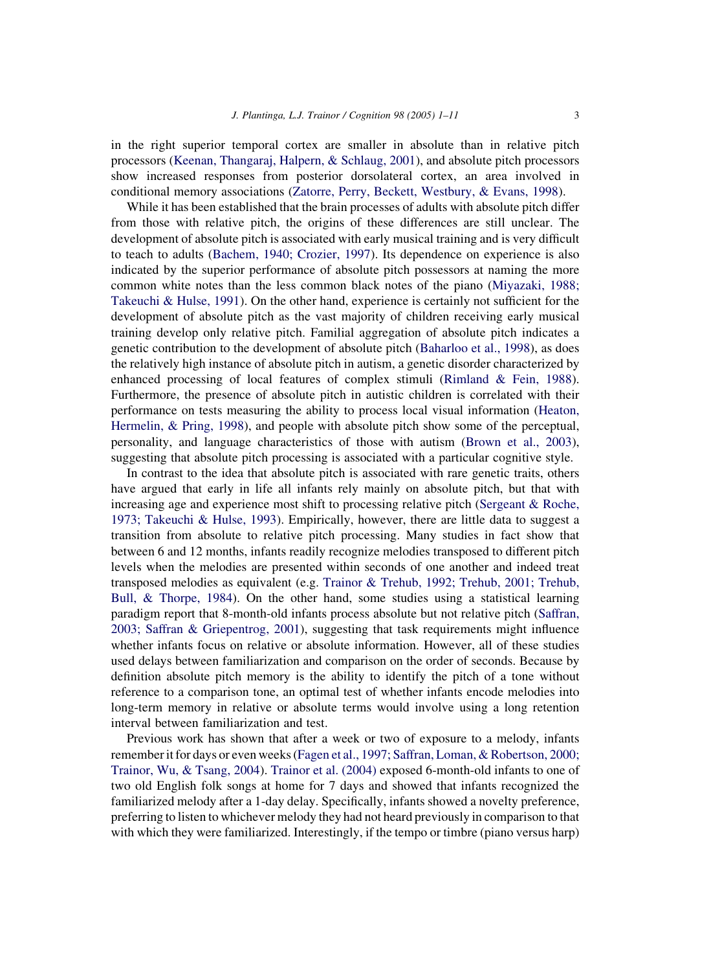in the right superior temporal cortex are smaller in absolute than in relative pitch processors ([Keenan, Thangaraj, Halpern, & Schlaug, 2001](#page-9-0)), and absolute pitch processors show increased responses from posterior dorsolateral cortex, an area involved in conditional memory associations [\(Zatorre, Perry, Beckett, Westbury, & Evans, 1998\)](#page-10-0).

While it has been established that the brain processes of adults with absolute pitch differ from those with relative pitch, the origins of these differences are still unclear. The development of absolute pitch is associated with early musical training and is very difficult to teach to adults ([Bachem, 1940; Crozier, 1997\)](#page-8-0). Its dependence on experience is also indicated by the superior performance of absolute pitch possessors at naming the more common white notes than the less common black notes of the piano ([Miyazaki, 1988;](#page-9-0) [Takeuchi & Hulse, 1991\)](#page-9-0). On the other hand, experience is certainly not sufficient for the development of absolute pitch as the vast majority of children receiving early musical training develop only relative pitch. Familial aggregation of absolute pitch indicates a genetic contribution to the development of absolute pitch ([Baharloo et al., 1998\)](#page-8-0), as does the relatively high instance of absolute pitch in autism, a genetic disorder characterized by enhanced processing of local features of complex stimuli [\(Rimland & Fein, 1988\)](#page-10-0). Furthermore, the presence of absolute pitch in autistic children is correlated with their performance on tests measuring the ability to process local visual information [\(Heaton,](#page-9-0) [Hermelin, & Pring, 1998\)](#page-9-0), and people with absolute pitch show some of the perceptual, personality, and language characteristics of those with autism ([Brown et al., 2003\)](#page-8-0), suggesting that absolute pitch processing is associated with a particular cognitive style.

In contrast to the idea that absolute pitch is associated with rare genetic traits, others have argued that early in life all infants rely mainly on absolute pitch, but that with increasing age and experience most shift to processing relative pitch [\(Sergeant & Roche,](#page-10-0) [1973; Takeuchi & Hulse, 1993\)](#page-10-0). Empirically, however, there are little data to suggest a transition from absolute to relative pitch processing. Many studies in fact show that between 6 and 12 months, infants readily recognize melodies transposed to different pitch levels when the melodies are presented within seconds of one another and indeed treat transposed melodies as equivalent (e.g. [Trainor & Trehub, 1992; Trehub, 2001; Trehub,](#page-10-0) [Bull, & Thorpe, 1984](#page-10-0)). On the other hand, some studies using a statistical learning paradigm report that 8-month-old infants process absolute but not relative pitch [\(Saffran,](#page-10-0) [2003; Saffran & Griepentrog, 2001\)](#page-10-0), suggesting that task requirements might influence whether infants focus on relative or absolute information. However, all of these studies used delays between familiarization and comparison on the order of seconds. Because by definition absolute pitch memory is the ability to identify the pitch of a tone without reference to a comparison tone, an optimal test of whether infants encode melodies into long-term memory in relative or absolute terms would involve using a long retention interval between familiarization and test.

Previous work has shown that after a week or two of exposure to a melody, infants remember it for days or even weeks ([Fagen et al., 1997; Saffran, Loman, & Robertson, 2000;](#page-9-0) [Trainor, Wu, & Tsang, 2004](#page-9-0)). [Trainor et al. \(2004\)](#page-10-0) exposed 6-month-old infants to one of two old English folk songs at home for 7 days and showed that infants recognized the familiarized melody after a 1-day delay. Specifically, infants showed a novelty preference, preferring to listen to whichever melody they had not heard previously in comparison to that with which they were familiarized. Interestingly, if the tempo or timbre (piano versus harp)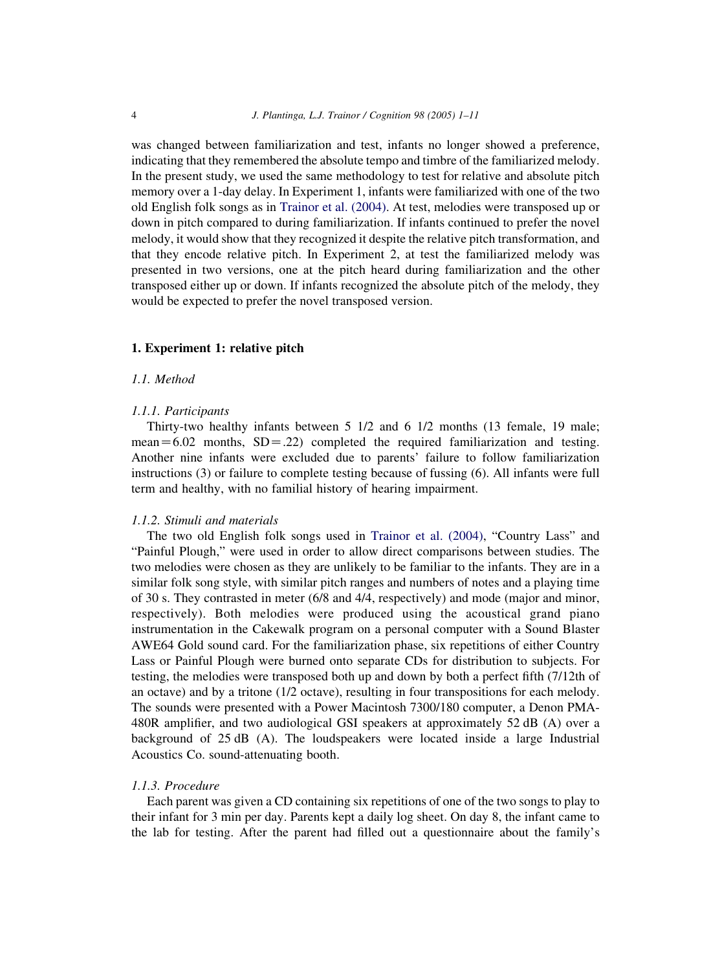was changed between familiarization and test, infants no longer showed a preference, indicating that they remembered the absolute tempo and timbre of the familiarized melody. In the present study, we used the same methodology to test for relative and absolute pitch memory over a 1-day delay. In Experiment 1, infants were familiarized with one of the two old English folk songs as in [Trainor et al. \(2004\).](#page-10-0) At test, melodies were transposed up or down in pitch compared to during familiarization. If infants continued to prefer the novel melody, it would show that they recognized it despite the relative pitch transformation, and that they encode relative pitch. In Experiment 2, at test the familiarized melody was presented in two versions, one at the pitch heard during familiarization and the other transposed either up or down. If infants recognized the absolute pitch of the melody, they would be expected to prefer the novel transposed version.

## 1. Experiment 1: relative pitch

## 1.1. Method

#### 1.1.1. Participants

Thirty-two healthy infants between 5 1/2 and 6 1/2 months (13 female, 19 male; mean= $6.02$  months,  $SD = .22$ ) completed the required familiarization and testing. Another nine infants were excluded due to parents' failure to follow familiarization instructions (3) or failure to complete testing because of fussing (6). All infants were full term and healthy, with no familial history of hearing impairment.

#### 1.1.2. Stimuli and materials

The two old English folk songs used in [Trainor et al. \(2004\),](#page-10-0) "Country Lass" and "Painful Plough," were used in order to allow direct comparisons between studies. The two melodies were chosen as they are unlikely to be familiar to the infants. They are in a similar folk song style, with similar pitch ranges and numbers of notes and a playing time of 30 s. They contrasted in meter (6/8 and 4/4, respectively) and mode (major and minor, respectively). Both melodies were produced using the acoustical grand piano instrumentation in the Cakewalk program on a personal computer with a Sound Blaster AWE64 Gold sound card. For the familiarization phase, six repetitions of either Country Lass or Painful Plough were burned onto separate CDs for distribution to subjects. For testing, the melodies were transposed both up and down by both a perfect fifth (7/12th of an octave) and by a tritone (1/2 octave), resulting in four transpositions for each melody. The sounds were presented with a Power Macintosh 7300/180 computer, a Denon PMA-480R amplifier, and two audiological GSI speakers at approximately 52 dB (A) over a background of 25 dB (A). The loudspeakers were located inside a large Industrial Acoustics Co. sound-attenuating booth.

# 1.1.3. Procedure

Each parent was given a CD containing six repetitions of one of the two songs to play to their infant for 3 min per day. Parents kept a daily log sheet. On day 8, the infant came to the lab for testing. After the parent had filled out a questionnaire about the family's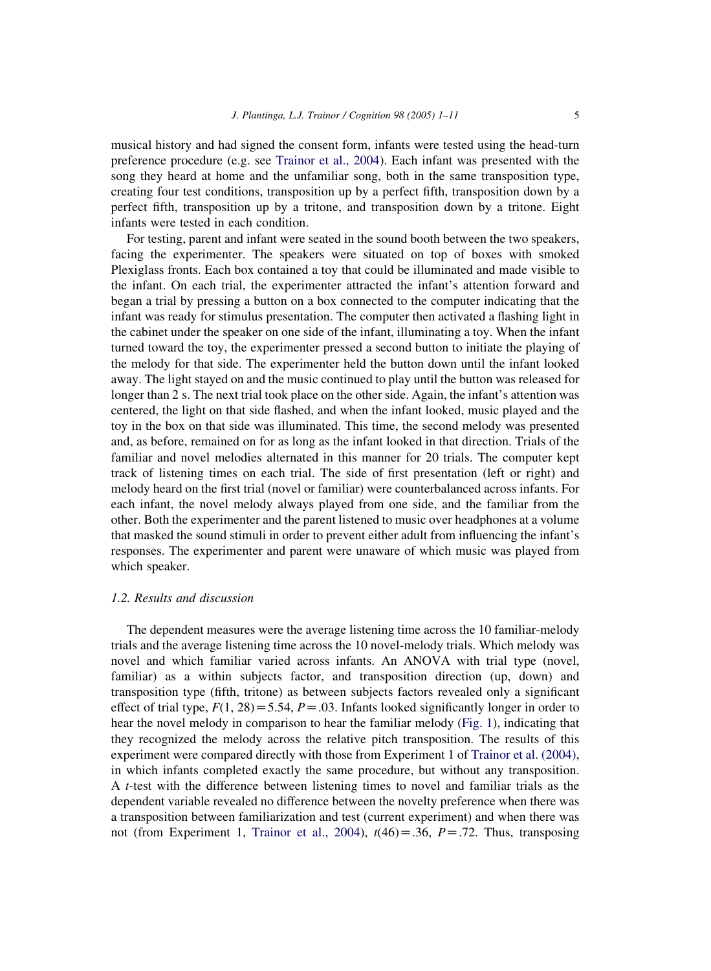musical history and had signed the consent form, infants were tested using the head-turn preference procedure (e.g. see [Trainor et al., 2004\)](#page-10-0). Each infant was presented with the song they heard at home and the unfamiliar song, both in the same transposition type, creating four test conditions, transposition up by a perfect fifth, transposition down by a perfect fifth, transposition up by a tritone, and transposition down by a tritone. Eight infants were tested in each condition.

For testing, parent and infant were seated in the sound booth between the two speakers, facing the experimenter. The speakers were situated on top of boxes with smoked Plexiglass fronts. Each box contained a toy that could be illuminated and made visible to the infant. On each trial, the experimenter attracted the infant's attention forward and began a trial by pressing a button on a box connected to the computer indicating that the infant was ready for stimulus presentation. The computer then activated a flashing light in the cabinet under the speaker on one side of the infant, illuminating a toy. When the infant turned toward the toy, the experimenter pressed a second button to initiate the playing of the melody for that side. The experimenter held the button down until the infant looked away. The light stayed on and the music continued to play until the button was released for longer than 2 s. The next trial took place on the other side. Again, the infant's attention was centered, the light on that side flashed, and when the infant looked, music played and the toy in the box on that side was illuminated. This time, the second melody was presented and, as before, remained on for as long as the infant looked in that direction. Trials of the familiar and novel melodies alternated in this manner for 20 trials. The computer kept track of listening times on each trial. The side of first presentation (left or right) and melody heard on the first trial (novel or familiar) were counterbalanced across infants. For each infant, the novel melody always played from one side, and the familiar from the other. Both the experimenter and the parent listened to music over headphones at a volume that masked the sound stimuli in order to prevent either adult from influencing the infant's responses. The experimenter and parent were unaware of which music was played from which speaker.

#### 1.2. Results and discussion

The dependent measures were the average listening time across the 10 familiar-melody trials and the average listening time across the 10 novel-melody trials. Which melody was novel and which familiar varied across infants. An ANOVA with trial type (novel, familiar) as a within subjects factor, and transposition direction (up, down) and transposition type (fifth, tritone) as between subjects factors revealed only a significant effect of trial type,  $F(1, 28) = 5.54$ ,  $P = .03$ . Infants looked significantly longer in order to hear the novel melody in comparison to hear the familiar melody ([Fig. 1](#page-5-0)), indicating that they recognized the melody across the relative pitch transposition. The results of this experiment were compared directly with those from Experiment 1 of [Trainor et al. \(2004\)](#page-10-0), in which infants completed exactly the same procedure, but without any transposition. A t-test with the difference between listening times to novel and familiar trials as the dependent variable revealed no difference between the novelty preference when there was a transposition between familiarization and test (current experiment) and when there was not (from Experiment 1, [Trainor et al., 2004\)](#page-10-0),  $t(46) = .36$ ,  $P = .72$ . Thus, transposing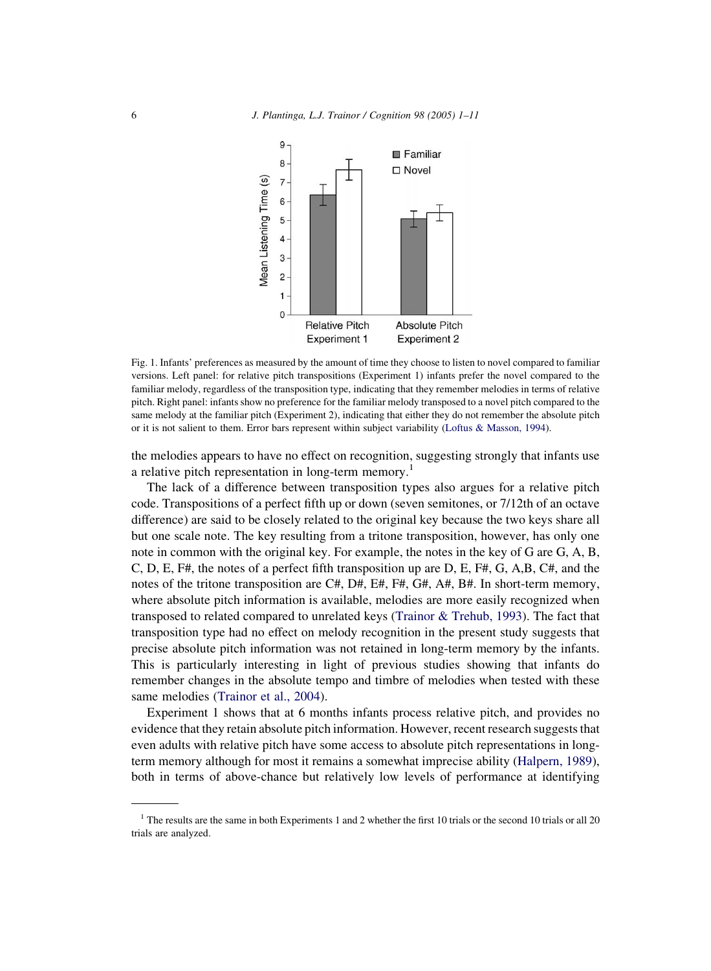<span id="page-5-0"></span>

Fig. 1. Infants' preferences as measured by the amount of time they choose to listen to novel compared to familiar versions. Left panel: for relative pitch transpositions (Experiment 1) infants prefer the novel compared to the familiar melody, regardless of the transposition type, indicating that they remember melodies in terms of relative pitch. Right panel: infants show no preference for the familiar melody transposed to a novel pitch compared to the same melody at the familiar pitch (Experiment 2), indicating that either they do not remember the absolute pitch or it is not salient to them. Error bars represent within subject variability ([Loftus & Masson, 1994\)](#page-9-0).

the melodies appears to have no effect on recognition, suggesting strongly that infants use a relative pitch representation in long-term memory.<sup>1</sup>

The lack of a difference between transposition types also argues for a relative pitch code. Transpositions of a perfect fifth up or down (seven semitones, or 7/12th of an octave difference) are said to be closely related to the original key because the two keys share all but one scale note. The key resulting from a tritone transposition, however, has only one note in common with the original key. For example, the notes in the key of G are G, A, B, C, D, E, F#, the notes of a perfect fifth transposition up are D, E, F#, G, A,B, C#, and the notes of the tritone transposition are C#, D#, E#, F#, G#, A#, B#. In short-term memory, where absolute pitch information is available, melodies are more easily recognized when transposed to related compared to unrelated keys ([Trainor & Trehub, 1993\)](#page-10-0). The fact that transposition type had no effect on melody recognition in the present study suggests that precise absolute pitch information was not retained in long-term memory by the infants. This is particularly interesting in light of previous studies showing that infants do remember changes in the absolute tempo and timbre of melodies when tested with these same melodies ([Trainor et al., 2004](#page-10-0)).

Experiment 1 shows that at 6 months infants process relative pitch, and provides no evidence that they retain absolute pitch information. However, recent research suggests that even adults with relative pitch have some access to absolute pitch representations in longterm memory although for most it remains a somewhat imprecise ability [\(Halpern, 1989](#page-9-0)), both in terms of above-chance but relatively low levels of performance at identifying

 $1$  The results are the same in both Experiments 1 and 2 whether the first 10 trials or the second 10 trials or all 20 trials are analyzed.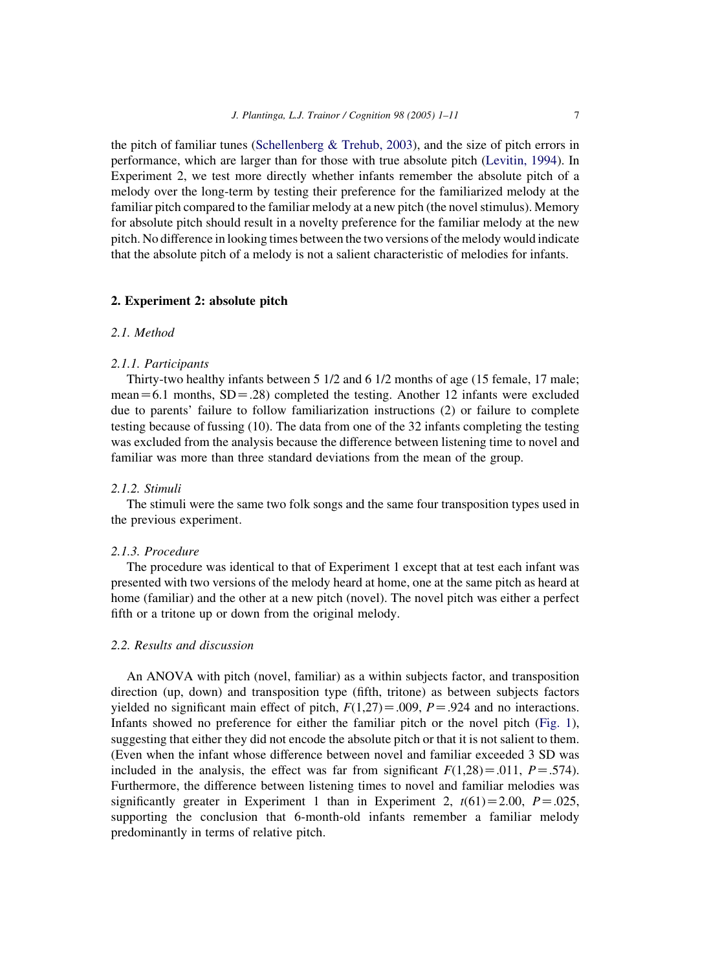the pitch of familiar tunes (Schellenberg  $&$  Trehub, 2003), and the size of pitch errors in performance, which are larger than for those with true absolute pitch ([Levitin, 1994\)](#page-9-0). In Experiment 2, we test more directly whether infants remember the absolute pitch of a melody over the long-term by testing their preference for the familiarized melody at the familiar pitch compared to the familiar melody at a new pitch (the novel stimulus). Memory for absolute pitch should result in a novelty preference for the familiar melody at the new pitch. No difference in looking times between the two versions of the melody would indicate that the absolute pitch of a melody is not a salient characteristic of melodies for infants.

#### 2. Experiment 2: absolute pitch

#### 2.1. Method

## 2.1.1. Participants

Thirty-two healthy infants between 5 1/2 and 6 1/2 months of age (15 female, 17 male; mean=6.1 months,  $SD = .28$ ) completed the testing. Another 12 infants were excluded due to parents' failure to follow familiarization instructions (2) or failure to complete testing because of fussing (10). The data from one of the 32 infants completing the testing was excluded from the analysis because the difference between listening time to novel and familiar was more than three standard deviations from the mean of the group.

# 2.1.2. Stimuli

The stimuli were the same two folk songs and the same four transposition types used in the previous experiment.

# 2.1.3. Procedure

The procedure was identical to that of Experiment 1 except that at test each infant was presented with two versions of the melody heard at home, one at the same pitch as heard at home (familiar) and the other at a new pitch (novel). The novel pitch was either a perfect fifth or a tritone up or down from the original melody.

## 2.2. Results and discussion

An ANOVA with pitch (novel, familiar) as a within subjects factor, and transposition direction (up, down) and transposition type (fifth, tritone) as between subjects factors yielded no significant main effect of pitch,  $F(1,27) = .009$ ,  $P = .924$  and no interactions. Infants showed no preference for either the familiar pitch or the novel pitch [\(Fig. 1\)](#page-5-0), suggesting that either they did not encode the absolute pitch or that it is not salient to them. (Even when the infant whose difference between novel and familiar exceeded 3 SD was included in the analysis, the effect was far from significant  $F(1,28) = .011$ ,  $P = .574$ . Furthermore, the difference between listening times to novel and familiar melodies was significantly greater in Experiment 1 than in Experiment 2,  $t(61)=2.00$ ,  $P=.025$ , supporting the conclusion that 6-month-old infants remember a familiar melody predominantly in terms of relative pitch.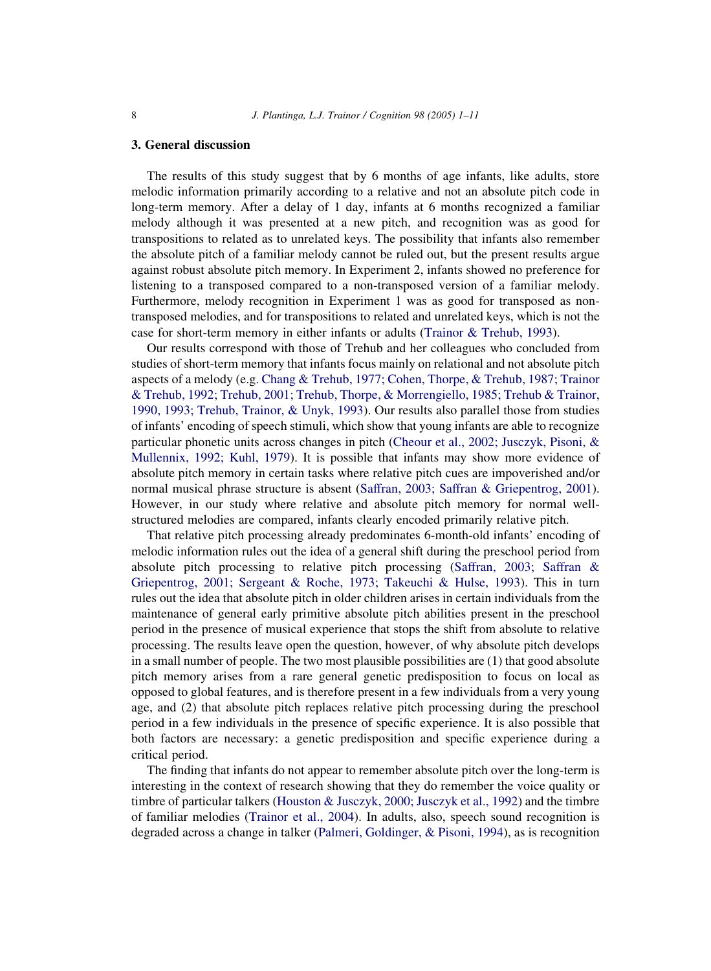## 3. General discussion

The results of this study suggest that by 6 months of age infants, like adults, store melodic information primarily according to a relative and not an absolute pitch code in long-term memory. After a delay of 1 day, infants at 6 months recognized a familiar melody although it was presented at a new pitch, and recognition was as good for transpositions to related as to unrelated keys. The possibility that infants also remember the absolute pitch of a familiar melody cannot be ruled out, but the present results argue against robust absolute pitch memory. In Experiment 2, infants showed no preference for listening to a transposed compared to a non-transposed version of a familiar melody. Furthermore, melody recognition in Experiment 1 was as good for transposed as nontransposed melodies, and for transpositions to related and unrelated keys, which is not the case for short-term memory in either infants or adults ([Trainor & Trehub, 1993](#page-10-0)).

Our results correspond with those of Trehub and her colleagues who concluded from studies of short-term memory that infants focus mainly on relational and not absolute pitch aspects of a melody (e.g. [Chang & Trehub, 1977; Cohen, Thorpe, & Trehub, 1987; Trainor](#page-8-0) [& Trehub, 1992; Trehub, 2001; Trehub, Thorpe, & Morrengiello, 1985; Trehub & Trainor,](#page-8-0) [1990, 1993; Trehub, Trainor, & Unyk, 1993](#page-8-0)). Our results also parallel those from studies of infants' encoding of speech stimuli, which show that young infants are able to recognize particular phonetic units across changes in pitch [\(Cheour et al., 2002; Jusczyk, Pisoni, &](#page-9-0) [Mullennix, 1992; Kuhl, 1979](#page-9-0)). It is possible that infants may show more evidence of absolute pitch memory in certain tasks where relative pitch cues are impoverished and/or normal musical phrase structure is absent ([Saffran, 2003; Saffran & Griepentrog, 2001](#page-10-0)). However, in our study where relative and absolute pitch memory for normal wellstructured melodies are compared, infants clearly encoded primarily relative pitch.

That relative pitch processing already predominates 6-month-old infants' encoding of melodic information rules out the idea of a general shift during the preschool period from absolute pitch processing to relative pitch processing [\(Saffran, 2003; Saffran &](#page-10-0) [Griepentrog, 2001; Sergeant & Roche, 1973; Takeuchi & Hulse, 1993](#page-10-0)). This in turn rules out the idea that absolute pitch in older children arises in certain individuals from the maintenance of general early primitive absolute pitch abilities present in the preschool period in the presence of musical experience that stops the shift from absolute to relative processing. The results leave open the question, however, of why absolute pitch develops in a small number of people. The two most plausible possibilities are (1) that good absolute pitch memory arises from a rare general genetic predisposition to focus on local as opposed to global features, and is therefore present in a few individuals from a very young age, and (2) that absolute pitch replaces relative pitch processing during the preschool period in a few individuals in the presence of specific experience. It is also possible that both factors are necessary: a genetic predisposition and specific experience during a critical period.

The finding that infants do not appear to remember absolute pitch over the long-term is interesting in the context of research showing that they do remember the voice quality or timbre of particular talkers [\(Houston & Jusczyk, 2000; Jusczyk et al., 1992\)](#page-9-0) and the timbre of familiar melodies ([Trainor et al., 2004](#page-10-0)). In adults, also, speech sound recognition is degraded across a change in talker ([Palmeri, Goldinger, & Pisoni, 1994](#page-9-0)), as is recognition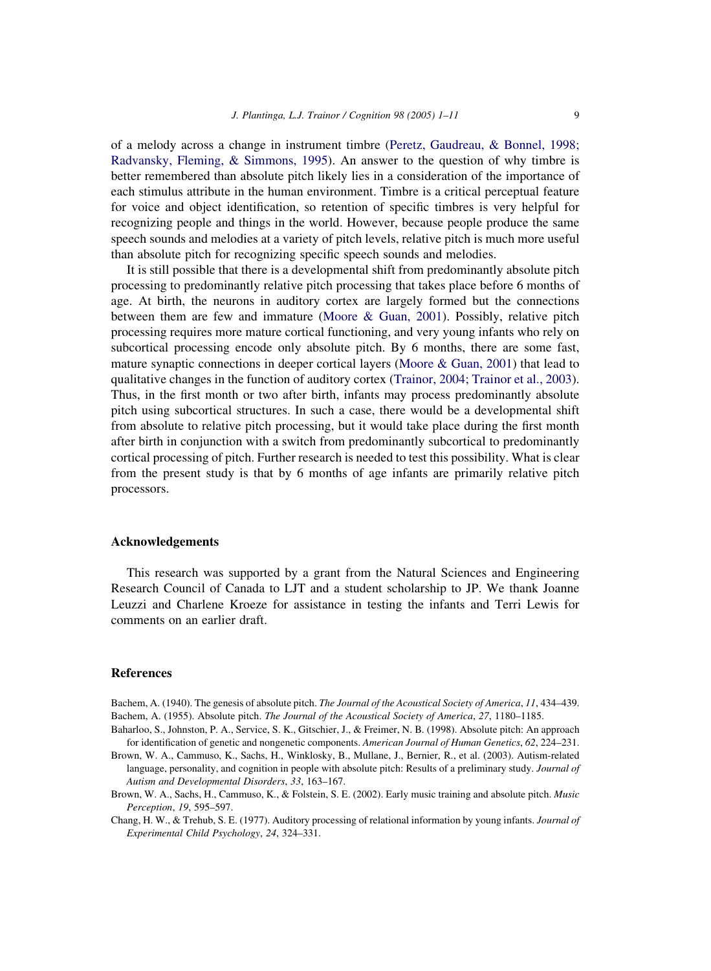<span id="page-8-0"></span>of a melody across a change in instrument timbre [\(Peretz, Gaudreau, & Bonnel, 1998;](#page-9-0) [Radvansky, Fleming, & Simmons, 1995\)](#page-9-0). An answer to the question of why timbre is better remembered than absolute pitch likely lies in a consideration of the importance of each stimulus attribute in the human environment. Timbre is a critical perceptual feature for voice and object identification, so retention of specific timbres is very helpful for recognizing people and things in the world. However, because people produce the same speech sounds and melodies at a variety of pitch levels, relative pitch is much more useful than absolute pitch for recognizing specific speech sounds and melodies.

It is still possible that there is a developmental shift from predominantly absolute pitch processing to predominantly relative pitch processing that takes place before 6 months of age. At birth, the neurons in auditory cortex are largely formed but the connections between them are few and immature [\(Moore & Guan, 2001\)](#page-9-0). Possibly, relative pitch processing requires more mature cortical functioning, and very young infants who rely on subcortical processing encode only absolute pitch. By 6 months, there are some fast, mature synaptic connections in deeper cortical layers ([Moore & Guan, 2001](#page-9-0)) that lead to qualitative changes in the function of auditory cortex ([Trainor, 2004; Trainor et al., 2003\)](#page-10-0). Thus, in the first month or two after birth, infants may process predominantly absolute pitch using subcortical structures. In such a case, there would be a developmental shift from absolute to relative pitch processing, but it would take place during the first month after birth in conjunction with a switch from predominantly subcortical to predominantly cortical processing of pitch. Further research is needed to test this possibility. What is clear from the present study is that by 6 months of age infants are primarily relative pitch processors.

## Acknowledgements

This research was supported by a grant from the Natural Sciences and Engineering Research Council of Canada to LJT and a student scholarship to JP. We thank Joanne Leuzzi and Charlene Kroeze for assistance in testing the infants and Terri Lewis for comments on an earlier draft.

#### References

Bachem, A. (1940). The genesis of absolute pitch. The Journal of the Acoustical Society of America, 11, 434–439. Bachem, A. (1955). Absolute pitch. The Journal of the Acoustical Society of America, 27, 1180–1185.

- Baharloo, S., Johnston, P. A., Service, S. K., Gitschier, J., & Freimer, N. B. (1998). Absolute pitch: An approach for identification of genetic and nongenetic components. American Journal of Human Genetics, 62, 224–231.
- Brown, W. A., Cammuso, K., Sachs, H., Winklosky, B., Mullane, J., Bernier, R., et al. (2003). Autism-related language, personality, and cognition in people with absolute pitch: Results of a preliminary study. Journal of Autism and Developmental Disorders, 33, 163–167.
- Brown, W. A., Sachs, H., Cammuso, K., & Folstein, S. E. (2002). Early music training and absolute pitch. Music Perception, 19, 595–597.
- Chang, H. W., & Trehub, S. E. (1977). Auditory processing of relational information by young infants. Journal of Experimental Child Psychology, 24, 324–331.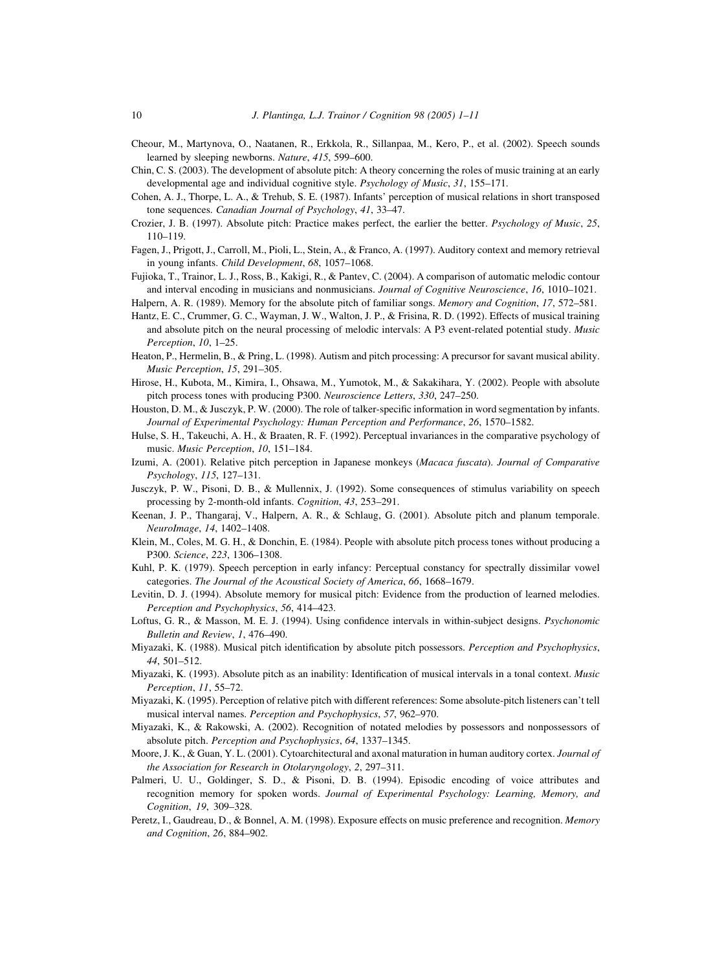- <span id="page-9-0"></span>Cheour, M., Martynova, O., Naatanen, R., Erkkola, R., Sillanpaa, M., Kero, P., et al. (2002). Speech sounds learned by sleeping newborns. Nature, 415, 599–600.
- Chin, C. S. (2003). The development of absolute pitch: A theory concerning the roles of music training at an early developmental age and individual cognitive style. Psychology of Music, 31, 155–171.
- Cohen, A. J., Thorpe, L. A., & Trehub, S. E. (1987). Infants' perception of musical relations in short transposed tone sequences. Canadian Journal of Psychology, 41, 33–47.
- Crozier, J. B. (1997). Absolute pitch: Practice makes perfect, the earlier the better. Psychology of Music, 25, 110–119.
- Fagen, J., Prigott, J., Carroll, M., Pioli, L., Stein, A., & Franco, A. (1997). Auditory context and memory retrieval in young infants. Child Development, 68, 1057–1068.
- Fujioka, T., Trainor, L. J., Ross, B., Kakigi, R., & Pantev, C. (2004). A comparison of automatic melodic contour and interval encoding in musicians and nonmusicians. Journal of Cognitive Neuroscience, 16, 1010–1021.
- Halpern, A. R. (1989). Memory for the absolute pitch of familiar songs. Memory and Cognition, 17, 572–581.
- Hantz, E. C., Crummer, G. C., Wayman, J. W., Walton, J. P., & Frisina, R. D. (1992). Effects of musical training and absolute pitch on the neural processing of melodic intervals: A P3 event-related potential study. Music Perception, 10, 1–25.
- Heaton, P., Hermelin, B., & Pring, L. (1998). Autism and pitch processing: A precursor for savant musical ability. Music Perception, 15, 291–305.
- Hirose, H., Kubota, M., Kimira, I., Ohsawa, M., Yumotok, M., & Sakakihara, Y. (2002). People with absolute pitch process tones with producing P300. Neuroscience Letters, 330, 247–250.
- Houston, D. M., & Jusczyk, P. W. (2000). The role of talker-specific information in word segmentation by infants. Journal of Experimental Psychology: Human Perception and Performance, 26, 1570–1582.
- Hulse, S. H., Takeuchi, A. H., & Braaten, R. F. (1992). Perceptual invariances in the comparative psychology of music. Music Perception, 10, 151–184.
- Izumi, A. (2001). Relative pitch perception in Japanese monkeys (Macaca fuscata). Journal of Comparative Psychology, 115, 127–131.
- Jusczyk, P. W., Pisoni, D. B., & Mullennix, J. (1992). Some consequences of stimulus variability on speech processing by 2-month-old infants. Cognition, 43, 253–291.
- Keenan, J. P., Thangaraj, V., Halpern, A. R., & Schlaug, G. (2001). Absolute pitch and planum temporale. NeuroImage, 14, 1402–1408.
- Klein, M., Coles, M. G. H., & Donchin, E. (1984). People with absolute pitch process tones without producing a P300. Science, 223, 1306–1308.
- Kuhl, P. K. (1979). Speech perception in early infancy: Perceptual constancy for spectrally dissimilar vowel categories. The Journal of the Acoustical Society of America, 66, 1668–1679.
- Levitin, D. J. (1994). Absolute memory for musical pitch: Evidence from the production of learned melodies. Perception and Psychophysics, 56, 414–423.
- Loftus, G. R., & Masson, M. E. J. (1994). Using confidence intervals in within-subject designs. Psychonomic Bulletin and Review, 1, 476–490.
- Miyazaki, K. (1988). Musical pitch identification by absolute pitch possessors. Perception and Psychophysics, 44, 501–512.
- Miyazaki, K. (1993). Absolute pitch as an inability: Identification of musical intervals in a tonal context. Music Perception, 11, 55–72.
- Miyazaki, K. (1995). Perception of relative pitch with different references: Some absolute-pitch listeners can't tell musical interval names. Perception and Psychophysics, 57, 962–970.
- Miyazaki, K., & Rakowski, A. (2002). Recognition of notated melodies by possessors and nonpossessors of absolute pitch. Perception and Psychophysics, 64, 1337–1345.
- Moore, J. K., & Guan, Y. L. (2001). Cytoarchitectural and axonal maturation in human auditory cortex. Journal of the Association for Research in Otolaryngology, 2, 297–311.
- Palmeri, U. U., Goldinger, S. D., & Pisoni, D. B. (1994). Episodic encoding of voice attributes and recognition memory for spoken words. Journal of Experimental Psychology: Learning, Memory, and Cognition, 19, 309–328.
- Peretz, I., Gaudreau, D., & Bonnel, A. M. (1998). Exposure effects on music preference and recognition. Memory and Cognition, 26, 884–902.